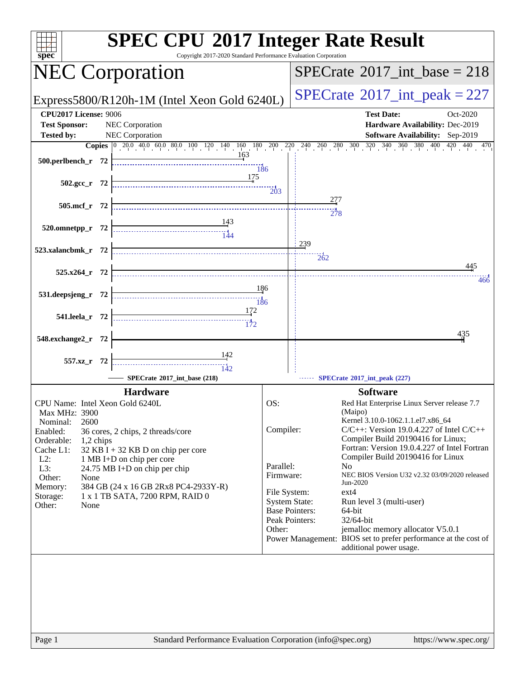| spec <sup>®</sup>                                                                                                                                                                                                                                                                                                                                                                                                                             | <b>SPEC CPU®2017 Integer Rate Result</b><br>Copyright 2017-2020 Standard Performance Evaluation Corporation                                                                                                                                                                                                                                                                                                                                                                                                                                                                                                                                                                                                            |
|-----------------------------------------------------------------------------------------------------------------------------------------------------------------------------------------------------------------------------------------------------------------------------------------------------------------------------------------------------------------------------------------------------------------------------------------------|------------------------------------------------------------------------------------------------------------------------------------------------------------------------------------------------------------------------------------------------------------------------------------------------------------------------------------------------------------------------------------------------------------------------------------------------------------------------------------------------------------------------------------------------------------------------------------------------------------------------------------------------------------------------------------------------------------------------|
| <b>NEC Corporation</b>                                                                                                                                                                                                                                                                                                                                                                                                                        | $SPECTate$ <sup>®</sup> 2017_int_base = 218                                                                                                                                                                                                                                                                                                                                                                                                                                                                                                                                                                                                                                                                            |
| Express5800/R120h-1M (Intel Xeon Gold 6240L)                                                                                                                                                                                                                                                                                                                                                                                                  | $SPECTate$ <sup>®</sup> 2017_int_peak = 227                                                                                                                                                                                                                                                                                                                                                                                                                                                                                                                                                                                                                                                                            |
| <b>CPU2017 License: 9006</b><br><b>Test Sponsor:</b><br>NEC Corporation<br>NEC Corporation<br><b>Tested by:</b>                                                                                                                                                                                                                                                                                                                               | <b>Test Date:</b><br>Oct-2020<br>Hardware Availability: Dec-2019<br>Software Availability: Sep-2019                                                                                                                                                                                                                                                                                                                                                                                                                                                                                                                                                                                                                    |
|                                                                                                                                                                                                                                                                                                                                                                                                                                               | <b>Copies</b> $\begin{bmatrix} 0 & 20 & 0 & 40 & 0 & 60 & 80 & 100 & 120 & 140 & 160 & 180 & 200 & 220 & 240 & 260 & 280 & 300 & 320 & 340 & 360 & 380 & 400 & 420 & 440 & 470 \end{bmatrix}$                                                                                                                                                                                                                                                                                                                                                                                                                                                                                                                          |
| 163<br>500.perlbench_r 72                                                                                                                                                                                                                                                                                                                                                                                                                     | 186                                                                                                                                                                                                                                                                                                                                                                                                                                                                                                                                                                                                                                                                                                                    |
| 175<br>$502.\text{gcc}_r$ 72                                                                                                                                                                                                                                                                                                                                                                                                                  | $\frac{1}{203}$                                                                                                                                                                                                                                                                                                                                                                                                                                                                                                                                                                                                                                                                                                        |
| 505.mcf_r 72                                                                                                                                                                                                                                                                                                                                                                                                                                  |                                                                                                                                                                                                                                                                                                                                                                                                                                                                                                                                                                                                                                                                                                                        |
|                                                                                                                                                                                                                                                                                                                                                                                                                                               | 278                                                                                                                                                                                                                                                                                                                                                                                                                                                                                                                                                                                                                                                                                                                    |
| 143<br>144 - The Marian Street, 144<br>144<br>520.omnetpp_r 72                                                                                                                                                                                                                                                                                                                                                                                |                                                                                                                                                                                                                                                                                                                                                                                                                                                                                                                                                                                                                                                                                                                        |
| 523.xalancbmk_r 72                                                                                                                                                                                                                                                                                                                                                                                                                            | 239                                                                                                                                                                                                                                                                                                                                                                                                                                                                                                                                                                                                                                                                                                                    |
| $525.x264$ r 72                                                                                                                                                                                                                                                                                                                                                                                                                               | 262<br>445                                                                                                                                                                                                                                                                                                                                                                                                                                                                                                                                                                                                                                                                                                             |
|                                                                                                                                                                                                                                                                                                                                                                                                                                               | 466                                                                                                                                                                                                                                                                                                                                                                                                                                                                                                                                                                                                                                                                                                                    |
| 531.deepsjeng_r 72                                                                                                                                                                                                                                                                                                                                                                                                                            | 186                                                                                                                                                                                                                                                                                                                                                                                                                                                                                                                                                                                                                                                                                                                    |
| <u>172</u><br>541.leela r 72                                                                                                                                                                                                                                                                                                                                                                                                                  |                                                                                                                                                                                                                                                                                                                                                                                                                                                                                                                                                                                                                                                                                                                        |
| 548.exchange2_r 72                                                                                                                                                                                                                                                                                                                                                                                                                            | 435                                                                                                                                                                                                                                                                                                                                                                                                                                                                                                                                                                                                                                                                                                                    |
| $\frac{142}{5}$<br>557.xz_r 72<br>$\frac{11}{142}$                                                                                                                                                                                                                                                                                                                                                                                            |                                                                                                                                                                                                                                                                                                                                                                                                                                                                                                                                                                                                                                                                                                                        |
| SPECrate®2017_int_base (218)                                                                                                                                                                                                                                                                                                                                                                                                                  | SPECrate®2017_int_peak (227)                                                                                                                                                                                                                                                                                                                                                                                                                                                                                                                                                                                                                                                                                           |
|                                                                                                                                                                                                                                                                                                                                                                                                                                               |                                                                                                                                                                                                                                                                                                                                                                                                                                                                                                                                                                                                                                                                                                                        |
| <b>Hardware</b><br>CPU Name: Intel Xeon Gold 6240L<br>Max MHz: 3900<br>Nominal:<br>2600<br>Enabled:<br>36 cores, 2 chips, 2 threads/core<br>Orderable:<br>1,2 chips<br>Cache L1:<br>$32$ KB I + 32 KB D on chip per core<br>$L2$ :<br>1 MB I+D on chip per core<br>L3:<br>24.75 MB I+D on chip per chip<br>Other:<br>None<br>Memory:<br>384 GB (24 x 16 GB 2Rx8 PC4-2933Y-R)<br>1 x 1 TB SATA, 7200 RPM, RAID 0<br>Storage:<br>Other:<br>None | <b>Software</b><br>OS:<br>Red Hat Enterprise Linux Server release 7.7<br>(Maipo)<br>Kernel 3.10.0-1062.1.1.el7.x86_64<br>Compiler:<br>$C/C++$ : Version 19.0.4.227 of Intel $C/C++$<br>Compiler Build 20190416 for Linux;<br>Fortran: Version 19.0.4.227 of Intel Fortran<br>Compiler Build 20190416 for Linux<br>Parallel:<br>N <sub>o</sub><br>NEC BIOS Version U32 v2.32 03/09/2020 released<br>Firmware:<br>Jun-2020<br>File System:<br>$ext{4}$<br><b>System State:</b><br>Run level 3 (multi-user)<br><b>Base Pointers:</b><br>64-bit<br>Peak Pointers:<br>32/64-bit<br>Other:<br>jemalloc memory allocator V5.0.1<br>Power Management: BIOS set to prefer performance at the cost of<br>additional power usage. |
| Page 1                                                                                                                                                                                                                                                                                                                                                                                                                                        | Standard Performance Evaluation Corporation (info@spec.org)<br>https://www.spec.org/                                                                                                                                                                                                                                                                                                                                                                                                                                                                                                                                                                                                                                   |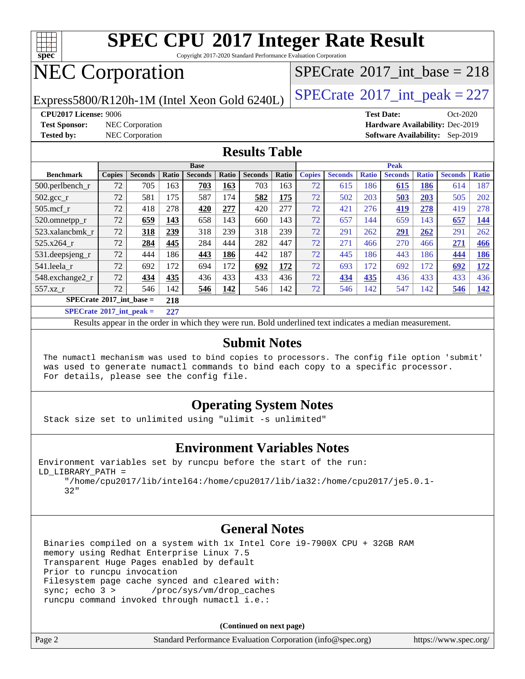

Copyright 2017-2020 Standard Performance Evaluation Corporation

## NEC Corporation

Express5800/R120h-1M (Intel Xeon Gold 6240L)  $\left|$  [SPECrate](http://www.spec.org/auto/cpu2017/Docs/result-fields.html#SPECrate2017intpeak)<sup>®</sup>[2017\\_int\\_peak = 2](http://www.spec.org/auto/cpu2017/Docs/result-fields.html#SPECrate2017intpeak)27

### $SPECTate@2017_int\_base = 218$

**[CPU2017 License:](http://www.spec.org/auto/cpu2017/Docs/result-fields.html#CPU2017License)** 9006 **[Test Date:](http://www.spec.org/auto/cpu2017/Docs/result-fields.html#TestDate)** Oct-2020 **[Test Sponsor:](http://www.spec.org/auto/cpu2017/Docs/result-fields.html#TestSponsor)** NEC Corporation **[Hardware Availability:](http://www.spec.org/auto/cpu2017/Docs/result-fields.html#HardwareAvailability)** Dec-2019 **[Tested by:](http://www.spec.org/auto/cpu2017/Docs/result-fields.html#Testedby)** NEC Corporation **[Software Availability:](http://www.spec.org/auto/cpu2017/Docs/result-fields.html#SoftwareAvailability)** Sep-2019

#### **[Results Table](http://www.spec.org/auto/cpu2017/Docs/result-fields.html#ResultsTable)**

|                                                  | <b>Base</b>   |                |       |                |       | <b>Peak</b>    |       |               |                |              |                |              |                |              |
|--------------------------------------------------|---------------|----------------|-------|----------------|-------|----------------|-------|---------------|----------------|--------------|----------------|--------------|----------------|--------------|
| <b>Benchmark</b>                                 | <b>Copies</b> | <b>Seconds</b> | Ratio | <b>Seconds</b> | Ratio | <b>Seconds</b> | Ratio | <b>Copies</b> | <b>Seconds</b> | <b>Ratio</b> | <b>Seconds</b> | <b>Ratio</b> | <b>Seconds</b> | <b>Ratio</b> |
| 500.perlbench_r                                  | 72            | 705            | 163   | 703            | 163   | 703            | 163   | 72            | 615            | 186          | 615            | 186          | 614            | 187          |
| 502.gcc_r                                        | 72            | 581            | 175   | 587            | 174   | 582            | 175   | 72            | 502            | 203          | 503            | 203          | 505            | 202          |
| $505$ .mcf r                                     | 72            | 418            | 278   | 420            | 277   | 420            | 277   | 72            | 421            | 276          | 419            | 278          | 419            | 278          |
| 520.omnetpp_r                                    | 72            | 659            | 143   | 658            | 143   | 660            | 143   | 72            | 657            | 144          | 659            | 143          | 657            | 144          |
| 523.xalancbmk_r                                  | 72            | 318            | 239   | 318            | 239   | 318            | 239   | 72            | 291            | 262          | 291            | 262          | 291            | 262          |
| 525.x264 r                                       | 72            | 284            | 445   | 284            | 444   | 282            | 447   | 72            | 271            | 466          | 270            | 466          | 271            | 466          |
| 531.deepsjeng_r                                  | 72            | 444            | 186   | 443            | 186   | 442            | 187   | 72            | 445            | 186          | 443            | 186          | 444            | <u>186</u>   |
| 541.leela r                                      | 72            | 692            | 172   | 694            | 172   | 692            | 172   | 72            | 693            | 172          | 692            | 172          | 692            | <u> 172</u>  |
| 548.exchange2_r                                  | 72            | 434            | 435   | 436            | 433   | 433            | 436   | 72            | 434            | 435          | 436            | 433          | 433            | 436          |
| 557.xz r                                         | 72            | 546            | 142   | 546            | 142   | 546            | 142   | 72            | 546            | 142          | 547            | 142          | 546            | 142          |
| $SPECrate^{\circledcirc}2017$ int base =         |               |                |       |                |       |                |       |               |                |              |                |              |                |              |
| $CDFC_{\text{sub-6}} \otimes 2017$ intervals $=$ |               |                | 227   |                |       |                |       |               |                |              |                |              |                |              |

**[SPECrate](http://www.spec.org/auto/cpu2017/Docs/result-fields.html#SPECrate2017intpeak)[2017\\_int\\_peak =](http://www.spec.org/auto/cpu2017/Docs/result-fields.html#SPECrate2017intpeak) 227**

Results appear in the [order in which they were run](http://www.spec.org/auto/cpu2017/Docs/result-fields.html#RunOrder). Bold underlined text [indicates a median measurement](http://www.spec.org/auto/cpu2017/Docs/result-fields.html#Median).

#### **[Submit Notes](http://www.spec.org/auto/cpu2017/Docs/result-fields.html#SubmitNotes)**

 The numactl mechanism was used to bind copies to processors. The config file option 'submit' was used to generate numactl commands to bind each copy to a specific processor. For details, please see the config file.

#### **[Operating System Notes](http://www.spec.org/auto/cpu2017/Docs/result-fields.html#OperatingSystemNotes)**

Stack size set to unlimited using "ulimit -s unlimited"

#### **[Environment Variables Notes](http://www.spec.org/auto/cpu2017/Docs/result-fields.html#EnvironmentVariablesNotes)**

Environment variables set by runcpu before the start of the run: LD\_LIBRARY\_PATH =

 "/home/cpu2017/lib/intel64:/home/cpu2017/lib/ia32:/home/cpu2017/je5.0.1- 32"

#### **[General Notes](http://www.spec.org/auto/cpu2017/Docs/result-fields.html#GeneralNotes)**

 Binaries compiled on a system with 1x Intel Core i9-7900X CPU + 32GB RAM memory using Redhat Enterprise Linux 7.5 Transparent Huge Pages enabled by default Prior to runcpu invocation Filesystem page cache synced and cleared with: sync; echo 3 > /proc/sys/vm/drop\_caches runcpu command invoked through numactl i.e.:

**(Continued on next page)**

|        | .                                                           |                       |
|--------|-------------------------------------------------------------|-----------------------|
| Page 2 | Standard Performance Evaluation Corporation (info@spec.org) | https://www.spec.org/ |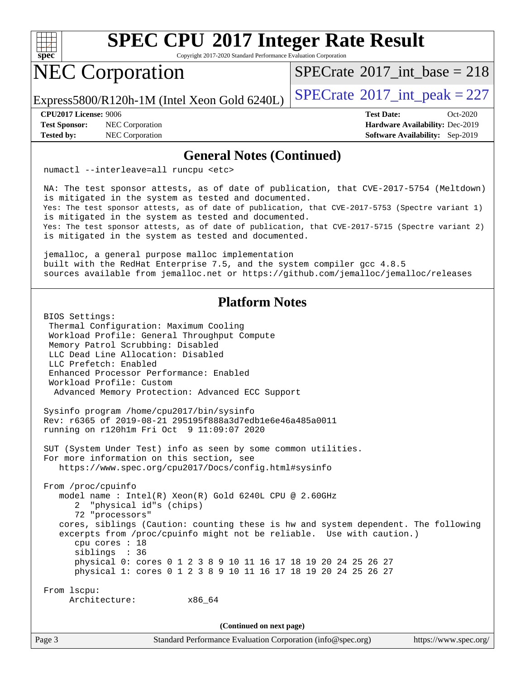

Copyright 2017-2020 Standard Performance Evaluation Corporation

## NEC Corporation

 $SPECTate@2017_int\_base = 218$ 

Express5800/R120h-1M (Intel Xeon Gold 6240L)  $\vert$  [SPECrate](http://www.spec.org/auto/cpu2017/Docs/result-fields.html#SPECrate2017intpeak)<sup>®</sup>[2017\\_int\\_peak = 2](http://www.spec.org/auto/cpu2017/Docs/result-fields.html#SPECrate2017intpeak)27

**[Test Sponsor:](http://www.spec.org/auto/cpu2017/Docs/result-fields.html#TestSponsor)** NEC Corporation **[Hardware Availability:](http://www.spec.org/auto/cpu2017/Docs/result-fields.html#HardwareAvailability)** Dec-2019 **[Tested by:](http://www.spec.org/auto/cpu2017/Docs/result-fields.html#Testedby)** NEC Corporation **[Software Availability:](http://www.spec.org/auto/cpu2017/Docs/result-fields.html#SoftwareAvailability)** Sep-2019

**[CPU2017 License:](http://www.spec.org/auto/cpu2017/Docs/result-fields.html#CPU2017License)** 9006 **[Test Date:](http://www.spec.org/auto/cpu2017/Docs/result-fields.html#TestDate)** Oct-2020

#### **[General Notes \(Continued\)](http://www.spec.org/auto/cpu2017/Docs/result-fields.html#GeneralNotes)**

numactl --interleave=all runcpu <etc>

 NA: The test sponsor attests, as of date of publication, that CVE-2017-5754 (Meltdown) is mitigated in the system as tested and documented. Yes: The test sponsor attests, as of date of publication, that CVE-2017-5753 (Spectre variant 1) is mitigated in the system as tested and documented. Yes: The test sponsor attests, as of date of publication, that CVE-2017-5715 (Spectre variant 2) is mitigated in the system as tested and documented.

 jemalloc, a general purpose malloc implementation built with the RedHat Enterprise 7.5, and the system compiler gcc 4.8.5 sources available from jemalloc.net or<https://github.com/jemalloc/jemalloc/releases>

#### **[Platform Notes](http://www.spec.org/auto/cpu2017/Docs/result-fields.html#PlatformNotes)**

Page 3 Standard Performance Evaluation Corporation [\(info@spec.org\)](mailto:info@spec.org) <https://www.spec.org/> BIOS Settings: Thermal Configuration: Maximum Cooling Workload Profile: General Throughput Compute Memory Patrol Scrubbing: Disabled LLC Dead Line Allocation: Disabled LLC Prefetch: Enabled Enhanced Processor Performance: Enabled Workload Profile: Custom Advanced Memory Protection: Advanced ECC Support Sysinfo program /home/cpu2017/bin/sysinfo Rev: r6365 of 2019-08-21 295195f888a3d7edb1e6e46a485a0011 running on r120h1m Fri Oct 9 11:09:07 2020 SUT (System Under Test) info as seen by some common utilities. For more information on this section, see <https://www.spec.org/cpu2017/Docs/config.html#sysinfo> From /proc/cpuinfo model name : Intel(R) Xeon(R) Gold 6240L CPU @ 2.60GHz 2 "physical id"s (chips) 72 "processors" cores, siblings (Caution: counting these is hw and system dependent. The following excerpts from /proc/cpuinfo might not be reliable. Use with caution.) cpu cores : 18 siblings : 36 physical 0: cores 0 1 2 3 8 9 10 11 16 17 18 19 20 24 25 26 27 physical 1: cores 0 1 2 3 8 9 10 11 16 17 18 19 20 24 25 26 27 From lscpu: Architecture: x86\_64 **(Continued on next page)**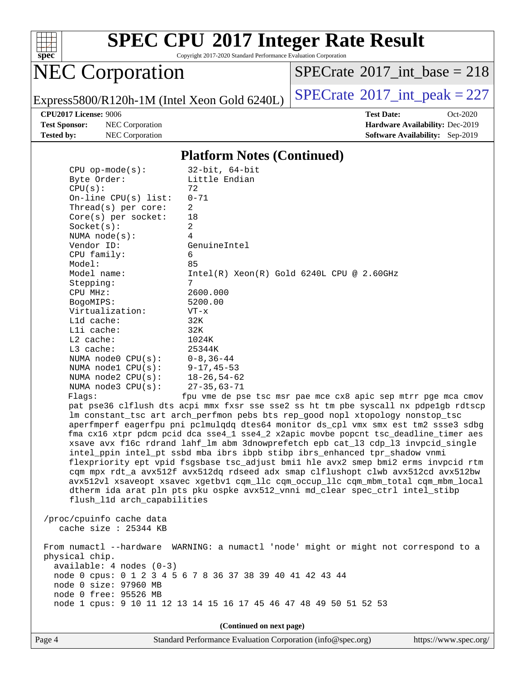

Copyright 2017-2020 Standard Performance Evaluation Corporation

## NEC Corporation

 $SPECTate@2017_int\_base = 218$ 

Express5800/R120h-1M (Intel Xeon Gold 6240L)  $\left|$  [SPECrate](http://www.spec.org/auto/cpu2017/Docs/result-fields.html#SPECrate2017intpeak)<sup>®</sup>[2017\\_int\\_peak = 2](http://www.spec.org/auto/cpu2017/Docs/result-fields.html#SPECrate2017intpeak)27

**[Test Sponsor:](http://www.spec.org/auto/cpu2017/Docs/result-fields.html#TestSponsor)** NEC Corporation **[Hardware Availability:](http://www.spec.org/auto/cpu2017/Docs/result-fields.html#HardwareAvailability)** Dec-2019 **[Tested by:](http://www.spec.org/auto/cpu2017/Docs/result-fields.html#Testedby)** NEC Corporation **[Software Availability:](http://www.spec.org/auto/cpu2017/Docs/result-fields.html#SoftwareAvailability)** Sep-2019

**[CPU2017 License:](http://www.spec.org/auto/cpu2017/Docs/result-fields.html#CPU2017License)** 9006 **[Test Date:](http://www.spec.org/auto/cpu2017/Docs/result-fields.html#TestDate)** Oct-2020

#### **[Platform Notes \(Continued\)](http://www.spec.org/auto/cpu2017/Docs/result-fields.html#PlatformNotes)**

| $CPU$ op-mode( $s$ ):                                                                                                                                                                                                             | $32$ -bit, $64$ -bit                                                                 |
|-----------------------------------------------------------------------------------------------------------------------------------------------------------------------------------------------------------------------------------|--------------------------------------------------------------------------------------|
| Byte Order:                                                                                                                                                                                                                       | Little Endian                                                                        |
| CPU(s):                                                                                                                                                                                                                           | 72                                                                                   |
| On-line $CPU(s)$ list:                                                                                                                                                                                                            | $0 - 71$                                                                             |
| Thread( $s$ ) per core:                                                                                                                                                                                                           | $\overline{2}$                                                                       |
| $Core(s)$ per socket:                                                                                                                                                                                                             | 18                                                                                   |
| Socket(s):                                                                                                                                                                                                                        | $\overline{a}$                                                                       |
| NUMA $node(s)$ :                                                                                                                                                                                                                  | $\overline{4}$                                                                       |
| Vendor ID:                                                                                                                                                                                                                        | GenuineIntel                                                                         |
| CPU family:                                                                                                                                                                                                                       | 6                                                                                    |
| Model:                                                                                                                                                                                                                            | 85                                                                                   |
| Model name:                                                                                                                                                                                                                       | $Intel(R) Xeon(R) Gold 6240L CPU @ 2.60GHz$                                          |
| Stepping:                                                                                                                                                                                                                         | $7\overline{ }$                                                                      |
| CPU MHz:                                                                                                                                                                                                                          | 2600.000                                                                             |
| BogoMIPS:                                                                                                                                                                                                                         | 5200.00                                                                              |
| Virtualization:                                                                                                                                                                                                                   | $VT - x$                                                                             |
| L1d cache:                                                                                                                                                                                                                        | 32K                                                                                  |
| Lli cache:                                                                                                                                                                                                                        | 32K                                                                                  |
| $L2$ cache:                                                                                                                                                                                                                       | 1024K                                                                                |
| $L3$ cache:                                                                                                                                                                                                                       | 25344K                                                                               |
| NUMA node0 CPU(s):                                                                                                                                                                                                                | $0 - 8, 36 - 44$                                                                     |
| NUMA nodel $CPU(s):$                                                                                                                                                                                                              | $9 - 17, 45 - 53$                                                                    |
| NUMA $node2$ $CPU(s):$                                                                                                                                                                                                            | $18 - 26, 54 - 62$                                                                   |
| NUMA $node3$ $CPU(s)$ :                                                                                                                                                                                                           | $27 - 35,63 - 71$                                                                    |
| Flags:                                                                                                                                                                                                                            | fpu vme de pse tsc msr pae mce cx8 apic sep mtrr pge mca cmov                        |
|                                                                                                                                                                                                                                   | pat pse36 clflush dts acpi mmx fxsr sse sse2 ss ht tm pbe syscall nx pdpelgb rdtscp  |
|                                                                                                                                                                                                                                   | lm constant_tsc art arch_perfmon pebs bts rep_good nopl xtopology nonstop_tsc        |
|                                                                                                                                                                                                                                   | aperfmperf eagerfpu pni pclmulqdq dtes64 monitor ds_cpl vmx smx est tm2 ssse3 sdbg   |
|                                                                                                                                                                                                                                   | fma cx16 xtpr pdcm pcid dca sse4_1 sse4_2 x2apic movbe popcnt tsc_deadline_timer aes |
|                                                                                                                                                                                                                                   | xsave avx f16c rdrand lahf_lm abm 3dnowprefetch epb cat_13 cdp_13 invpcid_single     |
|                                                                                                                                                                                                                                   | intel_ppin intel_pt ssbd mba ibrs ibpb stibp ibrs_enhanced tpr_shadow vnmi           |
|                                                                                                                                                                                                                                   | flexpriority ept vpid fsgsbase tsc_adjust bmil hle avx2 smep bmi2 erms invpcid rtm   |
|                                                                                                                                                                                                                                   | cqm mpx rdt_a avx512f avx512dq rdseed adx smap clflushopt clwb avx512cd avx512bw     |
|                                                                                                                                                                                                                                   | avx512vl xsaveopt xsavec xgetbvl cqm_llc cqm_occup_llc cqm_mbm_total cqm_mbm_local   |
|                                                                                                                                                                                                                                   | dtherm ida arat pln pts pku ospke avx512_vnni md_clear spec_ctrl intel_stibp         |
| flush_11d arch_capabilities                                                                                                                                                                                                       |                                                                                      |
| $\mathbf{r}$ , and the contract of the contract of the contract of the contract of the contract of the contract of the contract of the contract of the contract of the contract of the contract of the contract of the contract o |                                                                                      |
|                                                                                                                                                                                                                                   |                                                                                      |

 /proc/cpuinfo cache data cache size : 25344 KB

 From numactl --hardware WARNING: a numactl 'node' might or might not correspond to a physical chip. available: 4 nodes (0-3) node 0 cpus: 0 1 2 3 4 5 6 7 8 36 37 38 39 40 41 42 43 44 node 0 size: 97960 MB node 0 free: 95526 MB node 1 cpus: 9 10 11 12 13 14 15 16 17 45 46 47 48 49 50 51 52 53

**(Continued on next page)**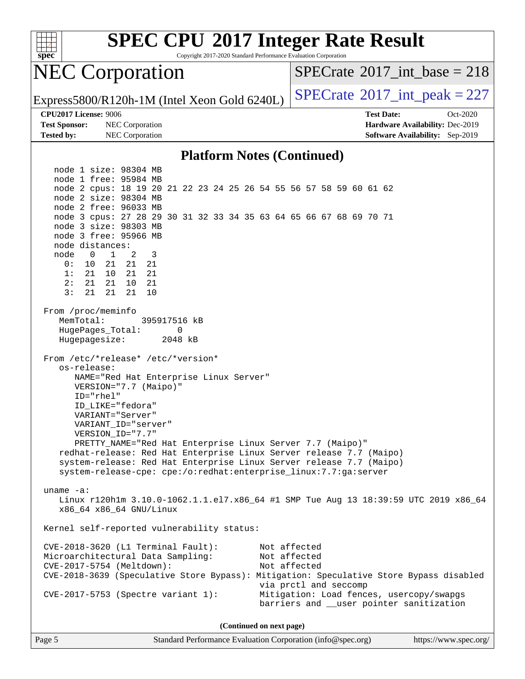

Copyright 2017-2020 Standard Performance Evaluation Corporation

## NEC Corporation

 $SPECTate$ <sup>®</sup>[2017\\_int\\_base =](http://www.spec.org/auto/cpu2017/Docs/result-fields.html#SPECrate2017intbase) 218

Express5800/R120h-1M (Intel Xeon Gold 6240L)  $\vert$  [SPECrate](http://www.spec.org/auto/cpu2017/Docs/result-fields.html#SPECrate2017intpeak)<sup>®</sup>[2017\\_int\\_peak = 2](http://www.spec.org/auto/cpu2017/Docs/result-fields.html#SPECrate2017intpeak)27

**[Test Sponsor:](http://www.spec.org/auto/cpu2017/Docs/result-fields.html#TestSponsor)** NEC Corporation **[Hardware Availability:](http://www.spec.org/auto/cpu2017/Docs/result-fields.html#HardwareAvailability)** Dec-2019 **[Tested by:](http://www.spec.org/auto/cpu2017/Docs/result-fields.html#Testedby)** NEC Corporation **[Software Availability:](http://www.spec.org/auto/cpu2017/Docs/result-fields.html#SoftwareAvailability)** Sep-2019

**[CPU2017 License:](http://www.spec.org/auto/cpu2017/Docs/result-fields.html#CPU2017License)** 9006 **[Test Date:](http://www.spec.org/auto/cpu2017/Docs/result-fields.html#TestDate)** Oct-2020

#### **[Platform Notes \(Continued\)](http://www.spec.org/auto/cpu2017/Docs/result-fields.html#PlatformNotes)**

 node 1 size: 98304 MB node 1 free: 95984 MB node 2 cpus: 18 19 20 21 22 23 24 25 26 54 55 56 57 58 59 60 61 62 node 2 size: 98304 MB node 2 free: 96033 MB node 3 cpus: 27 28 29 30 31 32 33 34 35 63 64 65 66 67 68 69 70 71 node 3 size: 98303 MB node 3 free: 95966 MB node distances: node 0 1 2 3 0: 10 21 21 21 1: 21 10 21 21 2: 21 21 10 21 3: 21 21 21 10 From /proc/meminfo MemTotal: 395917516 kB HugePages\_Total: 0 Hugepagesize: 2048 kB From /etc/\*release\* /etc/\*version\* os-release: NAME="Red Hat Enterprise Linux Server" VERSION="7.7 (Maipo)" ID="rhel" ID\_LIKE="fedora" VARIANT="Server" VARIANT\_ID="server" VERSION\_ID="7.7" PRETTY\_NAME="Red Hat Enterprise Linux Server 7.7 (Maipo)" redhat-release: Red Hat Enterprise Linux Server release 7.7 (Maipo) system-release: Red Hat Enterprise Linux Server release 7.7 (Maipo) system-release-cpe: cpe:/o:redhat:enterprise\_linux:7.7:ga:server uname -a: Linux r120h1m 3.10.0-1062.1.1.el7.x86\_64 #1 SMP Tue Aug 13 18:39:59 UTC 2019 x86\_64 x86\_64 x86\_64 GNU/Linux Kernel self-reported vulnerability status: CVE-2018-3620 (L1 Terminal Fault): Not affected Microarchitectural Data Sampling: Not affected CVE-2017-5754 (Meltdown): Not affected CVE-2018-3639 (Speculative Store Bypass): Mitigation: Speculative Store Bypass disabled via prctl and seccomp CVE-2017-5753 (Spectre variant 1): Mitigation: Load fences, usercopy/swapgs barriers and \_\_user pointer sanitization

**(Continued on next page)**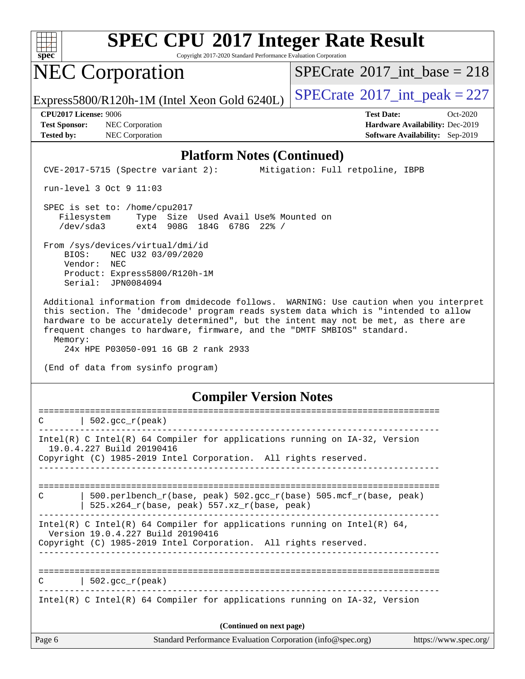

Copyright 2017-2020 Standard Performance Evaluation Corporation

## NEC Corporation

 $SPECTate@2017_int\_base = 218$ 

Express5800/R120h-1M (Intel Xeon Gold 6240L)  $\left|$  [SPECrate](http://www.spec.org/auto/cpu2017/Docs/result-fields.html#SPECrate2017intpeak)<sup>®</sup>[2017\\_int\\_peak = 2](http://www.spec.org/auto/cpu2017/Docs/result-fields.html#SPECrate2017intpeak)27

**[Test Sponsor:](http://www.spec.org/auto/cpu2017/Docs/result-fields.html#TestSponsor)** NEC Corporation **[Hardware Availability:](http://www.spec.org/auto/cpu2017/Docs/result-fields.html#HardwareAvailability)** Dec-2019 **[Tested by:](http://www.spec.org/auto/cpu2017/Docs/result-fields.html#Testedby)** NEC Corporation **[Software Availability:](http://www.spec.org/auto/cpu2017/Docs/result-fields.html#SoftwareAvailability)** Sep-2019

**[CPU2017 License:](http://www.spec.org/auto/cpu2017/Docs/result-fields.html#CPU2017License)** 9006 **[Test Date:](http://www.spec.org/auto/cpu2017/Docs/result-fields.html#TestDate)** Oct-2020

#### **[Platform Notes \(Continued\)](http://www.spec.org/auto/cpu2017/Docs/result-fields.html#PlatformNotes)**

CVE-2017-5715 (Spectre variant 2): Mitigation: Full retpoline, IBPB

run-level 3 Oct 9 11:03

 SPEC is set to: /home/cpu2017 Filesystem Type Size Used Avail Use% Mounted on /dev/sda3 ext4 908G 184G 678G 22% /

 From /sys/devices/virtual/dmi/id BIOS: NEC U32 03/09/2020 Vendor: NEC Product: Express5800/R120h-1M Serial: JPN0084094

 Additional information from dmidecode follows. WARNING: Use caution when you interpret this section. The 'dmidecode' program reads system data which is "intended to allow hardware to be accurately determined", but the intent may not be met, as there are frequent changes to hardware, firmware, and the "DMTF SMBIOS" standard. Memory:

24x HPE P03050-091 16 GB 2 rank 2933

(End of data from sysinfo program)

#### **[Compiler Version Notes](http://www.spec.org/auto/cpu2017/Docs/result-fields.html#CompilerVersionNotes)**

| Page 6                   | Standard Performance Evaluation Corporation (info@spec.org)                                                                                                                      | https://www.spec.org/ |  |  |  |
|--------------------------|----------------------------------------------------------------------------------------------------------------------------------------------------------------------------------|-----------------------|--|--|--|
| (Continued on next page) |                                                                                                                                                                                  |                       |  |  |  |
|                          | Intel(R) C Intel(R) 64 Compiler for applications running on $IA-32$ , Version                                                                                                    |                       |  |  |  |
| $\mathcal{C}$            | $502.\text{gcc\_r}(\text{peak})$                                                                                                                                                 |                       |  |  |  |
|                          | Intel(R) C Intel(R) 64 Compiler for applications running on Intel(R) 64,<br>Version 19.0.4.227 Build 20190416<br>Copyright (C) 1985-2019 Intel Corporation. All rights reserved. |                       |  |  |  |
| C                        | $500. perlbench_r(base, peak) 502. gcc_r(base) 505. mcf_r(base, peak)$<br>525.x264_r(base, peak) 557.xz_r(base, peak)                                                            |                       |  |  |  |
|                          | Intel(R) C Intel(R) 64 Compiler for applications running on $IA-32$ , Version<br>19.0.4.227 Build 20190416<br>Copyright (C) 1985-2019 Intel Corporation. All rights reserved.    |                       |  |  |  |
| C                        | 502. $qcc r (peak)$                                                                                                                                                              |                       |  |  |  |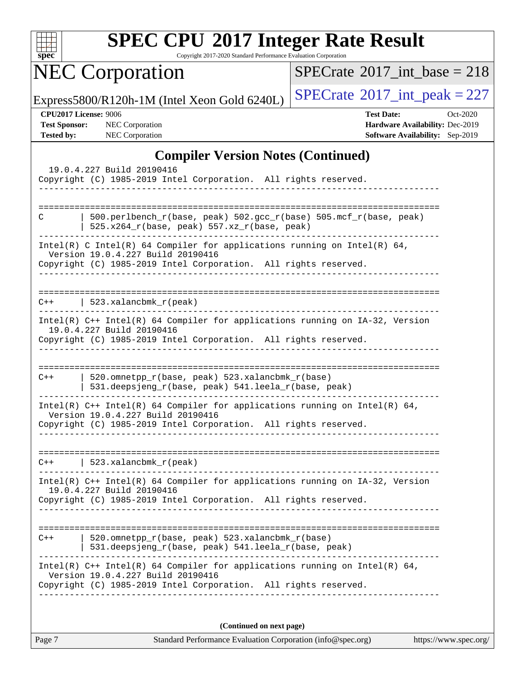

Copyright 2017-2020 Standard Performance Evaluation Corporation

NEC Corporation

 $SPECrate$ <sup>®</sup>[2017\\_int\\_base =](http://www.spec.org/auto/cpu2017/Docs/result-fields.html#SPECrate2017intbase) 218

Express5800/R120h-1M (Intel Xeon Gold 6240L)  $\left|$  [SPECrate](http://www.spec.org/auto/cpu2017/Docs/result-fields.html#SPECrate2017intpeak)<sup>®</sup>[2017\\_int\\_peak = 2](http://www.spec.org/auto/cpu2017/Docs/result-fields.html#SPECrate2017intpeak)27

**[Test Sponsor:](http://www.spec.org/auto/cpu2017/Docs/result-fields.html#TestSponsor)** NEC Corporation **[Hardware Availability:](http://www.spec.org/auto/cpu2017/Docs/result-fields.html#HardwareAvailability)** Dec-2019 **[Tested by:](http://www.spec.org/auto/cpu2017/Docs/result-fields.html#Testedby)** NEC Corporation **[Software Availability:](http://www.spec.org/auto/cpu2017/Docs/result-fields.html#SoftwareAvailability)** Sep-2019

**[CPU2017 License:](http://www.spec.org/auto/cpu2017/Docs/result-fields.html#CPU2017License)** 9006 **[Test Date:](http://www.spec.org/auto/cpu2017/Docs/result-fields.html#TestDate)** Oct-2020

#### **[Compiler Version Notes \(Continued\)](http://www.spec.org/auto/cpu2017/Docs/result-fields.html#CompilerVersionNotes)**

| 19.0.4.227 Build 20190416<br>Copyright (C) 1985-2019 Intel Corporation. All rights reserved.                                                                                         |  |  |  |  |  |
|--------------------------------------------------------------------------------------------------------------------------------------------------------------------------------------|--|--|--|--|--|
| ==========================                                                                                                                                                           |  |  |  |  |  |
| 500.perlbench_r(base, peak) 502.gcc_r(base) 505.mcf_r(base, peak)<br>C<br>525.x264_r(base, peak) 557.xz_r(base, peak)                                                                |  |  |  |  |  |
| Intel(R) C Intel(R) 64 Compiler for applications running on Intel(R) 64,<br>Version 19.0.4.227 Build 20190416<br>Copyright (C) 1985-2019 Intel Corporation. All rights reserved.     |  |  |  |  |  |
| 523.xalancbmk $r(\text{peak})$<br>$C++$<br>-----------------------------------                                                                                                       |  |  |  |  |  |
| Intel(R) C++ Intel(R) 64 Compiler for applications running on IA-32, Version<br>19.0.4.227 Build 20190416<br>Copyright (C) 1985-2019 Intel Corporation. All rights reserved.         |  |  |  |  |  |
| 520.omnetpp_r(base, peak) 523.xalancbmk_r(base)<br>$C++$<br>531.deepsjeng_r(base, peak) 541.leela_r(base, peak)                                                                      |  |  |  |  |  |
| Intel(R) $C++$ Intel(R) 64 Compiler for applications running on Intel(R) 64,<br>Version 19.0.4.227 Build 20190416<br>Copyright (C) 1985-2019 Intel Corporation. All rights reserved. |  |  |  |  |  |
| 523.xalancbmk $r$ (peak)<br>$C++$                                                                                                                                                    |  |  |  |  |  |
| Intel(R) C++ Intel(R) 64 Compiler for applications running on IA-32, Version<br>19.0.4.227 Build 20190416<br>Copyright (C) 1985-2019 Intel Corporation. All rights reserved.         |  |  |  |  |  |
| 520.omnetpp_r(base, peak) 523.xalancbmk_r(base)<br>$C++$<br>531.deepsjeng_r(base, peak) 541.leela_r(base, peak)                                                                      |  |  |  |  |  |
| Intel(R) $C++$ Intel(R) 64 Compiler for applications running on Intel(R) 64,<br>Version 19.0.4.227 Build 20190416<br>Copyright (C) 1985-2019 Intel Corporation. All rights reserved. |  |  |  |  |  |
| (Continued on next page)                                                                                                                                                             |  |  |  |  |  |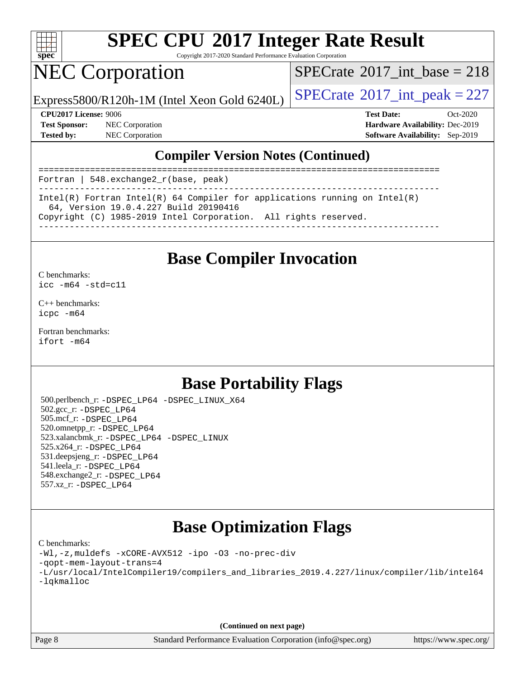

Copyright 2017-2020 Standard Performance Evaluation Corporation

## NEC Corporation

 $SPECTate@2017_int\_base = 218$ 

Express5800/R120h-1M (Intel Xeon Gold 6240L)  $\vert$  [SPECrate](http://www.spec.org/auto/cpu2017/Docs/result-fields.html#SPECrate2017intpeak)<sup>®</sup>[2017\\_int\\_peak = 2](http://www.spec.org/auto/cpu2017/Docs/result-fields.html#SPECrate2017intpeak)27

**[Test Sponsor:](http://www.spec.org/auto/cpu2017/Docs/result-fields.html#TestSponsor)** NEC Corporation **[Hardware Availability:](http://www.spec.org/auto/cpu2017/Docs/result-fields.html#HardwareAvailability)** Dec-2019 **[Tested by:](http://www.spec.org/auto/cpu2017/Docs/result-fields.html#Testedby)** NEC Corporation **[Software Availability:](http://www.spec.org/auto/cpu2017/Docs/result-fields.html#SoftwareAvailability)** Sep-2019

**[CPU2017 License:](http://www.spec.org/auto/cpu2017/Docs/result-fields.html#CPU2017License)** 9006 **[Test Date:](http://www.spec.org/auto/cpu2017/Docs/result-fields.html#TestDate)** Oct-2020

### **[Compiler Version Notes \(Continued\)](http://www.spec.org/auto/cpu2017/Docs/result-fields.html#CompilerVersionNotes)**

| Fortran   548.exchange $2_r(base, peak)$                                                                            |
|---------------------------------------------------------------------------------------------------------------------|
| Intel(R) Fortran Intel(R) 64 Compiler for applications running on Intel(R)<br>64, Version 19.0.4.227 Build 20190416 |
| Copyright (C) 1985-2019 Intel Corporation. All rights reserved.                                                     |

### **[Base Compiler Invocation](http://www.spec.org/auto/cpu2017/Docs/result-fields.html#BaseCompilerInvocation)**

[C benchmarks](http://www.spec.org/auto/cpu2017/Docs/result-fields.html#Cbenchmarks): [icc -m64 -std=c11](http://www.spec.org/cpu2017/results/res2020q4/cpu2017-20201012-24181.flags.html#user_CCbase_intel_icc_64bit_c11_33ee0cdaae7deeeab2a9725423ba97205ce30f63b9926c2519791662299b76a0318f32ddfffdc46587804de3178b4f9328c46fa7c2b0cd779d7a61945c91cd35)

[C++ benchmarks:](http://www.spec.org/auto/cpu2017/Docs/result-fields.html#CXXbenchmarks) [icpc -m64](http://www.spec.org/cpu2017/results/res2020q4/cpu2017-20201012-24181.flags.html#user_CXXbase_intel_icpc_64bit_4ecb2543ae3f1412ef961e0650ca070fec7b7afdcd6ed48761b84423119d1bf6bdf5cad15b44d48e7256388bc77273b966e5eb805aefd121eb22e9299b2ec9d9)

[Fortran benchmarks](http://www.spec.org/auto/cpu2017/Docs/result-fields.html#Fortranbenchmarks): [ifort -m64](http://www.spec.org/cpu2017/results/res2020q4/cpu2017-20201012-24181.flags.html#user_FCbase_intel_ifort_64bit_24f2bb282fbaeffd6157abe4f878425411749daecae9a33200eee2bee2fe76f3b89351d69a8130dd5949958ce389cf37ff59a95e7a40d588e8d3a57e0c3fd751)

### **[Base Portability Flags](http://www.spec.org/auto/cpu2017/Docs/result-fields.html#BasePortabilityFlags)**

 500.perlbench\_r: [-DSPEC\\_LP64](http://www.spec.org/cpu2017/results/res2020q4/cpu2017-20201012-24181.flags.html#b500.perlbench_r_basePORTABILITY_DSPEC_LP64) [-DSPEC\\_LINUX\\_X64](http://www.spec.org/cpu2017/results/res2020q4/cpu2017-20201012-24181.flags.html#b500.perlbench_r_baseCPORTABILITY_DSPEC_LINUX_X64) 502.gcc\_r: [-DSPEC\\_LP64](http://www.spec.org/cpu2017/results/res2020q4/cpu2017-20201012-24181.flags.html#suite_basePORTABILITY502_gcc_r_DSPEC_LP64) 505.mcf\_r: [-DSPEC\\_LP64](http://www.spec.org/cpu2017/results/res2020q4/cpu2017-20201012-24181.flags.html#suite_basePORTABILITY505_mcf_r_DSPEC_LP64) 520.omnetpp\_r: [-DSPEC\\_LP64](http://www.spec.org/cpu2017/results/res2020q4/cpu2017-20201012-24181.flags.html#suite_basePORTABILITY520_omnetpp_r_DSPEC_LP64) 523.xalancbmk\_r: [-DSPEC\\_LP64](http://www.spec.org/cpu2017/results/res2020q4/cpu2017-20201012-24181.flags.html#suite_basePORTABILITY523_xalancbmk_r_DSPEC_LP64) [-DSPEC\\_LINUX](http://www.spec.org/cpu2017/results/res2020q4/cpu2017-20201012-24181.flags.html#b523.xalancbmk_r_baseCXXPORTABILITY_DSPEC_LINUX) 525.x264\_r: [-DSPEC\\_LP64](http://www.spec.org/cpu2017/results/res2020q4/cpu2017-20201012-24181.flags.html#suite_basePORTABILITY525_x264_r_DSPEC_LP64) 531.deepsjeng\_r: [-DSPEC\\_LP64](http://www.spec.org/cpu2017/results/res2020q4/cpu2017-20201012-24181.flags.html#suite_basePORTABILITY531_deepsjeng_r_DSPEC_LP64) 541.leela\_r: [-DSPEC\\_LP64](http://www.spec.org/cpu2017/results/res2020q4/cpu2017-20201012-24181.flags.html#suite_basePORTABILITY541_leela_r_DSPEC_LP64) 548.exchange2\_r: [-DSPEC\\_LP64](http://www.spec.org/cpu2017/results/res2020q4/cpu2017-20201012-24181.flags.html#suite_basePORTABILITY548_exchange2_r_DSPEC_LP64) 557.xz\_r: [-DSPEC\\_LP64](http://www.spec.org/cpu2017/results/res2020q4/cpu2017-20201012-24181.flags.html#suite_basePORTABILITY557_xz_r_DSPEC_LP64)

## **[Base Optimization Flags](http://www.spec.org/auto/cpu2017/Docs/result-fields.html#BaseOptimizationFlags)**

#### [C benchmarks](http://www.spec.org/auto/cpu2017/Docs/result-fields.html#Cbenchmarks):

```
-Wl,-z,muldefs -xCORE-AVX512 -ipo -O3 -no-prec-div
-qopt-mem-layout-trans=4
-L/usr/local/IntelCompiler19/compilers_and_libraries_2019.4.227/linux/compiler/lib/intel64
-lqkmalloc
```
**(Continued on next page)**

Page 8 Standard Performance Evaluation Corporation [\(info@spec.org\)](mailto:info@spec.org) <https://www.spec.org/>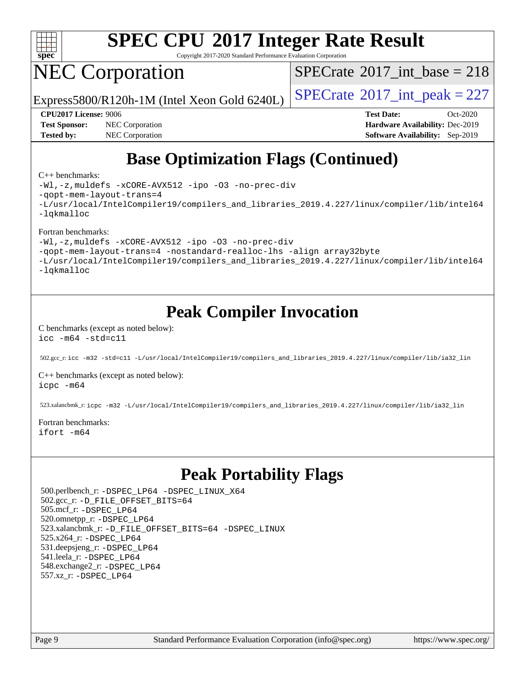

Copyright 2017-2020 Standard Performance Evaluation Corporation

## NEC Corporation

 $SPECTate@2017_int\_base = 218$ 

Express5800/R120h-1M (Intel Xeon Gold 6240L)  $\vert$  [SPECrate](http://www.spec.org/auto/cpu2017/Docs/result-fields.html#SPECrate2017intpeak)<sup>®</sup>[2017\\_int\\_peak = 2](http://www.spec.org/auto/cpu2017/Docs/result-fields.html#SPECrate2017intpeak)27

**[Test Sponsor:](http://www.spec.org/auto/cpu2017/Docs/result-fields.html#TestSponsor)** NEC Corporation **[Hardware Availability:](http://www.spec.org/auto/cpu2017/Docs/result-fields.html#HardwareAvailability)** Dec-2019 **[Tested by:](http://www.spec.org/auto/cpu2017/Docs/result-fields.html#Testedby)** NEC Corporation **[Software Availability:](http://www.spec.org/auto/cpu2017/Docs/result-fields.html#SoftwareAvailability)** Sep-2019

**[CPU2017 License:](http://www.spec.org/auto/cpu2017/Docs/result-fields.html#CPU2017License)** 9006 **[Test Date:](http://www.spec.org/auto/cpu2017/Docs/result-fields.html#TestDate)** Oct-2020

## **[Base Optimization Flags \(Continued\)](http://www.spec.org/auto/cpu2017/Docs/result-fields.html#BaseOptimizationFlags)**

#### [C++ benchmarks:](http://www.spec.org/auto/cpu2017/Docs/result-fields.html#CXXbenchmarks)

[-Wl,-z,muldefs](http://www.spec.org/cpu2017/results/res2020q4/cpu2017-20201012-24181.flags.html#user_CXXbase_link_force_multiple1_b4cbdb97b34bdee9ceefcfe54f4c8ea74255f0b02a4b23e853cdb0e18eb4525ac79b5a88067c842dd0ee6996c24547a27a4b99331201badda8798ef8a743f577) [-xCORE-AVX512](http://www.spec.org/cpu2017/results/res2020q4/cpu2017-20201012-24181.flags.html#user_CXXbase_f-xCORE-AVX512) [-ipo](http://www.spec.org/cpu2017/results/res2020q4/cpu2017-20201012-24181.flags.html#user_CXXbase_f-ipo) [-O3](http://www.spec.org/cpu2017/results/res2020q4/cpu2017-20201012-24181.flags.html#user_CXXbase_f-O3) [-no-prec-div](http://www.spec.org/cpu2017/results/res2020q4/cpu2017-20201012-24181.flags.html#user_CXXbase_f-no-prec-div) [-qopt-mem-layout-trans=4](http://www.spec.org/cpu2017/results/res2020q4/cpu2017-20201012-24181.flags.html#user_CXXbase_f-qopt-mem-layout-trans_fa39e755916c150a61361b7846f310bcdf6f04e385ef281cadf3647acec3f0ae266d1a1d22d972a7087a248fd4e6ca390a3634700869573d231a252c784941a8) [-L/usr/local/IntelCompiler19/compilers\\_and\\_libraries\\_2019.4.227/linux/compiler/lib/intel64](http://www.spec.org/cpu2017/results/res2020q4/cpu2017-20201012-24181.flags.html#user_CXXbase_qkmalloc_link_0ffe0cb02c68ef1b443a077c7888c10c67ca0d1dd7138472156f06a085bbad385f78d49618ad55dca9db3b1608e84afc2f69b4003b1d1ca498a9fc1462ccefda) [-lqkmalloc](http://www.spec.org/cpu2017/results/res2020q4/cpu2017-20201012-24181.flags.html#user_CXXbase_qkmalloc_link_lib_79a818439969f771c6bc311cfd333c00fc099dad35c030f5aab9dda831713d2015205805422f83de8875488a2991c0a156aaa600e1f9138f8fc37004abc96dc5)

#### [Fortran benchmarks:](http://www.spec.org/auto/cpu2017/Docs/result-fields.html#Fortranbenchmarks)

[-Wl,-z,muldefs](http://www.spec.org/cpu2017/results/res2020q4/cpu2017-20201012-24181.flags.html#user_FCbase_link_force_multiple1_b4cbdb97b34bdee9ceefcfe54f4c8ea74255f0b02a4b23e853cdb0e18eb4525ac79b5a88067c842dd0ee6996c24547a27a4b99331201badda8798ef8a743f577) [-xCORE-AVX512](http://www.spec.org/cpu2017/results/res2020q4/cpu2017-20201012-24181.flags.html#user_FCbase_f-xCORE-AVX512) [-ipo](http://www.spec.org/cpu2017/results/res2020q4/cpu2017-20201012-24181.flags.html#user_FCbase_f-ipo) [-O3](http://www.spec.org/cpu2017/results/res2020q4/cpu2017-20201012-24181.flags.html#user_FCbase_f-O3) [-no-prec-div](http://www.spec.org/cpu2017/results/res2020q4/cpu2017-20201012-24181.flags.html#user_FCbase_f-no-prec-div)

[-qopt-mem-layout-trans=4](http://www.spec.org/cpu2017/results/res2020q4/cpu2017-20201012-24181.flags.html#user_FCbase_f-qopt-mem-layout-trans_fa39e755916c150a61361b7846f310bcdf6f04e385ef281cadf3647acec3f0ae266d1a1d22d972a7087a248fd4e6ca390a3634700869573d231a252c784941a8) [-nostandard-realloc-lhs](http://www.spec.org/cpu2017/results/res2020q4/cpu2017-20201012-24181.flags.html#user_FCbase_f_2003_std_realloc_82b4557e90729c0f113870c07e44d33d6f5a304b4f63d4c15d2d0f1fab99f5daaed73bdb9275d9ae411527f28b936061aa8b9c8f2d63842963b95c9dd6426b8a) [-align array32byte](http://www.spec.org/cpu2017/results/res2020q4/cpu2017-20201012-24181.flags.html#user_FCbase_align_array32byte_b982fe038af199962ba9a80c053b8342c548c85b40b8e86eb3cc33dee0d7986a4af373ac2d51c3f7cf710a18d62fdce2948f201cd044323541f22fc0fffc51b6)

[-L/usr/local/IntelCompiler19/compilers\\_and\\_libraries\\_2019.4.227/linux/compiler/lib/intel64](http://www.spec.org/cpu2017/results/res2020q4/cpu2017-20201012-24181.flags.html#user_FCbase_qkmalloc_link_0ffe0cb02c68ef1b443a077c7888c10c67ca0d1dd7138472156f06a085bbad385f78d49618ad55dca9db3b1608e84afc2f69b4003b1d1ca498a9fc1462ccefda) [-lqkmalloc](http://www.spec.org/cpu2017/results/res2020q4/cpu2017-20201012-24181.flags.html#user_FCbase_qkmalloc_link_lib_79a818439969f771c6bc311cfd333c00fc099dad35c030f5aab9dda831713d2015205805422f83de8875488a2991c0a156aaa600e1f9138f8fc37004abc96dc5)

### **[Peak Compiler Invocation](http://www.spec.org/auto/cpu2017/Docs/result-fields.html#PeakCompilerInvocation)**

#### [C benchmarks \(except as noted below\)](http://www.spec.org/auto/cpu2017/Docs/result-fields.html#Cbenchmarksexceptasnotedbelow): [icc -m64 -std=c11](http://www.spec.org/cpu2017/results/res2020q4/cpu2017-20201012-24181.flags.html#user_CCpeak_intel_icc_64bit_c11_33ee0cdaae7deeeab2a9725423ba97205ce30f63b9926c2519791662299b76a0318f32ddfffdc46587804de3178b4f9328c46fa7c2b0cd779d7a61945c91cd35)

502.gcc\_r: [icc -m32 -std=c11 -L/usr/local/IntelCompiler19/compilers\\_and\\_libraries\\_2019.4.227/linux/compiler/lib/ia32\\_lin](http://www.spec.org/cpu2017/results/res2020q4/cpu2017-20201012-24181.flags.html#user_peakCCLD502_gcc_r_intel_icc_38a193a897536fa645efb1dc6ac2bea2bddbbe56f130e144a606d1b2649003f27c79f8814020c1f9355cbbf0d7ab0d194a7a979ee1e2a95641bbb8cf571aac7b)

[C++ benchmarks \(except as noted below\)](http://www.spec.org/auto/cpu2017/Docs/result-fields.html#CXXbenchmarksexceptasnotedbelow): [icpc -m64](http://www.spec.org/cpu2017/results/res2020q4/cpu2017-20201012-24181.flags.html#user_CXXpeak_intel_icpc_64bit_4ecb2543ae3f1412ef961e0650ca070fec7b7afdcd6ed48761b84423119d1bf6bdf5cad15b44d48e7256388bc77273b966e5eb805aefd121eb22e9299b2ec9d9)

523.xalancbmk\_r: [icpc -m32 -L/usr/local/IntelCompiler19/compilers\\_and\\_libraries\\_2019.4.227/linux/compiler/lib/ia32\\_lin](http://www.spec.org/cpu2017/results/res2020q4/cpu2017-20201012-24181.flags.html#user_peakCXXLD523_xalancbmk_r_intel_icpc_840f965b38320ad10acba6032d6ca4c816e722c432c250f3408feae347068ba449f694544a48cf12cd3bde3495e328e6747ab0f629c2925d3062e2ee144af951)

#### [Fortran benchmarks](http://www.spec.org/auto/cpu2017/Docs/result-fields.html#Fortranbenchmarks): [ifort -m64](http://www.spec.org/cpu2017/results/res2020q4/cpu2017-20201012-24181.flags.html#user_FCpeak_intel_ifort_64bit_24f2bb282fbaeffd6157abe4f878425411749daecae9a33200eee2bee2fe76f3b89351d69a8130dd5949958ce389cf37ff59a95e7a40d588e8d3a57e0c3fd751)

## **[Peak Portability Flags](http://www.spec.org/auto/cpu2017/Docs/result-fields.html#PeakPortabilityFlags)**

 500.perlbench\_r: [-DSPEC\\_LP64](http://www.spec.org/cpu2017/results/res2020q4/cpu2017-20201012-24181.flags.html#b500.perlbench_r_peakPORTABILITY_DSPEC_LP64) [-DSPEC\\_LINUX\\_X64](http://www.spec.org/cpu2017/results/res2020q4/cpu2017-20201012-24181.flags.html#b500.perlbench_r_peakCPORTABILITY_DSPEC_LINUX_X64) 502.gcc\_r: [-D\\_FILE\\_OFFSET\\_BITS=64](http://www.spec.org/cpu2017/results/res2020q4/cpu2017-20201012-24181.flags.html#user_peakPORTABILITY502_gcc_r_file_offset_bits_64_5ae949a99b284ddf4e95728d47cb0843d81b2eb0e18bdfe74bbf0f61d0b064f4bda2f10ea5eb90e1dcab0e84dbc592acfc5018bc955c18609f94ddb8d550002c) 505.mcf\_r: [-DSPEC\\_LP64](http://www.spec.org/cpu2017/results/res2020q4/cpu2017-20201012-24181.flags.html#suite_peakPORTABILITY505_mcf_r_DSPEC_LP64) 520.omnetpp\_r: [-DSPEC\\_LP64](http://www.spec.org/cpu2017/results/res2020q4/cpu2017-20201012-24181.flags.html#suite_peakPORTABILITY520_omnetpp_r_DSPEC_LP64) 523.xalancbmk\_r: [-D\\_FILE\\_OFFSET\\_BITS=64](http://www.spec.org/cpu2017/results/res2020q4/cpu2017-20201012-24181.flags.html#user_peakPORTABILITY523_xalancbmk_r_file_offset_bits_64_5ae949a99b284ddf4e95728d47cb0843d81b2eb0e18bdfe74bbf0f61d0b064f4bda2f10ea5eb90e1dcab0e84dbc592acfc5018bc955c18609f94ddb8d550002c) [-DSPEC\\_LINUX](http://www.spec.org/cpu2017/results/res2020q4/cpu2017-20201012-24181.flags.html#b523.xalancbmk_r_peakCXXPORTABILITY_DSPEC_LINUX) 525.x264\_r: [-DSPEC\\_LP64](http://www.spec.org/cpu2017/results/res2020q4/cpu2017-20201012-24181.flags.html#suite_peakPORTABILITY525_x264_r_DSPEC_LP64) 531.deepsjeng\_r: [-DSPEC\\_LP64](http://www.spec.org/cpu2017/results/res2020q4/cpu2017-20201012-24181.flags.html#suite_peakPORTABILITY531_deepsjeng_r_DSPEC_LP64) 541.leela\_r: [-DSPEC\\_LP64](http://www.spec.org/cpu2017/results/res2020q4/cpu2017-20201012-24181.flags.html#suite_peakPORTABILITY541_leela_r_DSPEC_LP64) 548.exchange2\_r: [-DSPEC\\_LP64](http://www.spec.org/cpu2017/results/res2020q4/cpu2017-20201012-24181.flags.html#suite_peakPORTABILITY548_exchange2_r_DSPEC_LP64) 557.xz\_r: [-DSPEC\\_LP64](http://www.spec.org/cpu2017/results/res2020q4/cpu2017-20201012-24181.flags.html#suite_peakPORTABILITY557_xz_r_DSPEC_LP64)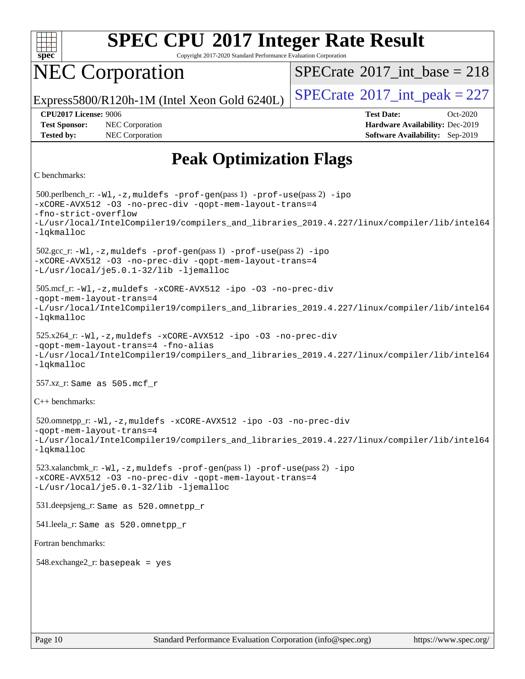

Copyright 2017-2020 Standard Performance Evaluation Corporation

## NEC Corporation

 $SPECTate$ <sup>®</sup>[2017\\_int\\_base =](http://www.spec.org/auto/cpu2017/Docs/result-fields.html#SPECrate2017intbase) 218

Express5800/R120h-1M (Intel Xeon Gold 6240L)  $\vert$  [SPECrate](http://www.spec.org/auto/cpu2017/Docs/result-fields.html#SPECrate2017intpeak)<sup>®</sup>[2017\\_int\\_peak = 2](http://www.spec.org/auto/cpu2017/Docs/result-fields.html#SPECrate2017intpeak)27

**[Tested by:](http://www.spec.org/auto/cpu2017/Docs/result-fields.html#Testedby)** NEC Corporation **[Software Availability:](http://www.spec.org/auto/cpu2017/Docs/result-fields.html#SoftwareAvailability)** Sep-2019

**[CPU2017 License:](http://www.spec.org/auto/cpu2017/Docs/result-fields.html#CPU2017License)** 9006 **[Test Date:](http://www.spec.org/auto/cpu2017/Docs/result-fields.html#TestDate)** Oct-2020 **[Test Sponsor:](http://www.spec.org/auto/cpu2017/Docs/result-fields.html#TestSponsor)** NEC Corporation **[Hardware Availability:](http://www.spec.org/auto/cpu2017/Docs/result-fields.html#HardwareAvailability)** Dec-2019

## **[Peak Optimization Flags](http://www.spec.org/auto/cpu2017/Docs/result-fields.html#PeakOptimizationFlags)**

```
C benchmarks:
```
 500.perlbench\_r: [-Wl,-z,muldefs](http://www.spec.org/cpu2017/results/res2020q4/cpu2017-20201012-24181.flags.html#user_peakEXTRA_LDFLAGS500_perlbench_r_link_force_multiple1_b4cbdb97b34bdee9ceefcfe54f4c8ea74255f0b02a4b23e853cdb0e18eb4525ac79b5a88067c842dd0ee6996c24547a27a4b99331201badda8798ef8a743f577) [-prof-gen](http://www.spec.org/cpu2017/results/res2020q4/cpu2017-20201012-24181.flags.html#user_peakPASS1_CFLAGSPASS1_LDFLAGS500_perlbench_r_prof_gen_5aa4926d6013ddb2a31985c654b3eb18169fc0c6952a63635c234f711e6e63dd76e94ad52365559451ec499a2cdb89e4dc58ba4c67ef54ca681ffbe1461d6b36)(pass 1) [-prof-use](http://www.spec.org/cpu2017/results/res2020q4/cpu2017-20201012-24181.flags.html#user_peakPASS2_CFLAGSPASS2_LDFLAGS500_perlbench_r_prof_use_1a21ceae95f36a2b53c25747139a6c16ca95bd9def2a207b4f0849963b97e94f5260e30a0c64f4bb623698870e679ca08317ef8150905d41bd88c6f78df73f19)(pass 2) [-ipo](http://www.spec.org/cpu2017/results/res2020q4/cpu2017-20201012-24181.flags.html#user_peakPASS1_COPTIMIZEPASS2_COPTIMIZE500_perlbench_r_f-ipo) [-xCORE-AVX512](http://www.spec.org/cpu2017/results/res2020q4/cpu2017-20201012-24181.flags.html#user_peakPASS2_COPTIMIZE500_perlbench_r_f-xCORE-AVX512) [-O3](http://www.spec.org/cpu2017/results/res2020q4/cpu2017-20201012-24181.flags.html#user_peakPASS1_COPTIMIZEPASS2_COPTIMIZE500_perlbench_r_f-O3) [-no-prec-div](http://www.spec.org/cpu2017/results/res2020q4/cpu2017-20201012-24181.flags.html#user_peakPASS1_COPTIMIZEPASS2_COPTIMIZE500_perlbench_r_f-no-prec-div) [-qopt-mem-layout-trans=4](http://www.spec.org/cpu2017/results/res2020q4/cpu2017-20201012-24181.flags.html#user_peakPASS1_COPTIMIZEPASS2_COPTIMIZE500_perlbench_r_f-qopt-mem-layout-trans_fa39e755916c150a61361b7846f310bcdf6f04e385ef281cadf3647acec3f0ae266d1a1d22d972a7087a248fd4e6ca390a3634700869573d231a252c784941a8) [-fno-strict-overflow](http://www.spec.org/cpu2017/results/res2020q4/cpu2017-20201012-24181.flags.html#user_peakEXTRA_OPTIMIZE500_perlbench_r_f-fno-strict-overflow) [-L/usr/local/IntelCompiler19/compilers\\_and\\_libraries\\_2019.4.227/linux/compiler/lib/intel64](http://www.spec.org/cpu2017/results/res2020q4/cpu2017-20201012-24181.flags.html#user_peakEXTRA_LIBS500_perlbench_r_qkmalloc_link_0ffe0cb02c68ef1b443a077c7888c10c67ca0d1dd7138472156f06a085bbad385f78d49618ad55dca9db3b1608e84afc2f69b4003b1d1ca498a9fc1462ccefda) [-lqkmalloc](http://www.spec.org/cpu2017/results/res2020q4/cpu2017-20201012-24181.flags.html#user_peakEXTRA_LIBS500_perlbench_r_qkmalloc_link_lib_79a818439969f771c6bc311cfd333c00fc099dad35c030f5aab9dda831713d2015205805422f83de8875488a2991c0a156aaa600e1f9138f8fc37004abc96dc5) 502.gcc\_r: [-Wl,-z,muldefs](http://www.spec.org/cpu2017/results/res2020q4/cpu2017-20201012-24181.flags.html#user_peakEXTRA_LDFLAGS502_gcc_r_link_force_multiple1_b4cbdb97b34bdee9ceefcfe54f4c8ea74255f0b02a4b23e853cdb0e18eb4525ac79b5a88067c842dd0ee6996c24547a27a4b99331201badda8798ef8a743f577) [-prof-gen](http://www.spec.org/cpu2017/results/res2020q4/cpu2017-20201012-24181.flags.html#user_peakPASS1_CFLAGSPASS1_LDFLAGS502_gcc_r_prof_gen_5aa4926d6013ddb2a31985c654b3eb18169fc0c6952a63635c234f711e6e63dd76e94ad52365559451ec499a2cdb89e4dc58ba4c67ef54ca681ffbe1461d6b36)(pass 1) [-prof-use](http://www.spec.org/cpu2017/results/res2020q4/cpu2017-20201012-24181.flags.html#user_peakPASS2_CFLAGSPASS2_LDFLAGS502_gcc_r_prof_use_1a21ceae95f36a2b53c25747139a6c16ca95bd9def2a207b4f0849963b97e94f5260e30a0c64f4bb623698870e679ca08317ef8150905d41bd88c6f78df73f19)(pass 2) [-ipo](http://www.spec.org/cpu2017/results/res2020q4/cpu2017-20201012-24181.flags.html#user_peakPASS1_COPTIMIZEPASS2_COPTIMIZE502_gcc_r_f-ipo) [-xCORE-AVX512](http://www.spec.org/cpu2017/results/res2020q4/cpu2017-20201012-24181.flags.html#user_peakPASS2_COPTIMIZE502_gcc_r_f-xCORE-AVX512) [-O3](http://www.spec.org/cpu2017/results/res2020q4/cpu2017-20201012-24181.flags.html#user_peakPASS1_COPTIMIZEPASS2_COPTIMIZE502_gcc_r_f-O3) [-no-prec-div](http://www.spec.org/cpu2017/results/res2020q4/cpu2017-20201012-24181.flags.html#user_peakPASS1_COPTIMIZEPASS2_COPTIMIZE502_gcc_r_f-no-prec-div) [-qopt-mem-layout-trans=4](http://www.spec.org/cpu2017/results/res2020q4/cpu2017-20201012-24181.flags.html#user_peakPASS1_COPTIMIZEPASS2_COPTIMIZE502_gcc_r_f-qopt-mem-layout-trans_fa39e755916c150a61361b7846f310bcdf6f04e385ef281cadf3647acec3f0ae266d1a1d22d972a7087a248fd4e6ca390a3634700869573d231a252c784941a8) [-L/usr/local/je5.0.1-32/lib](http://www.spec.org/cpu2017/results/res2020q4/cpu2017-20201012-24181.flags.html#user_peakEXTRA_LIBS502_gcc_r_jemalloc_link_path32_e29f22e8e6c17053bbc6a0971f5a9c01a601a06bb1a59df2084b77a2fe0a2995b64fd4256feaeea39eeba3aae142e96e2b2b0a28974019c0c0c88139a84f900a) [-ljemalloc](http://www.spec.org/cpu2017/results/res2020q4/cpu2017-20201012-24181.flags.html#user_peakEXTRA_LIBS502_gcc_r_jemalloc_link_lib_d1249b907c500fa1c0672f44f562e3d0f79738ae9e3c4a9c376d49f265a04b9c99b167ecedbf6711b3085be911c67ff61f150a17b3472be731631ba4d0471706) 505.mcf\_r: [-Wl,-z,muldefs](http://www.spec.org/cpu2017/results/res2020q4/cpu2017-20201012-24181.flags.html#user_peakEXTRA_LDFLAGS505_mcf_r_link_force_multiple1_b4cbdb97b34bdee9ceefcfe54f4c8ea74255f0b02a4b23e853cdb0e18eb4525ac79b5a88067c842dd0ee6996c24547a27a4b99331201badda8798ef8a743f577) [-xCORE-AVX512](http://www.spec.org/cpu2017/results/res2020q4/cpu2017-20201012-24181.flags.html#user_peakCOPTIMIZE505_mcf_r_f-xCORE-AVX512) [-ipo](http://www.spec.org/cpu2017/results/res2020q4/cpu2017-20201012-24181.flags.html#user_peakCOPTIMIZE505_mcf_r_f-ipo) [-O3](http://www.spec.org/cpu2017/results/res2020q4/cpu2017-20201012-24181.flags.html#user_peakCOPTIMIZE505_mcf_r_f-O3) [-no-prec-div](http://www.spec.org/cpu2017/results/res2020q4/cpu2017-20201012-24181.flags.html#user_peakCOPTIMIZE505_mcf_r_f-no-prec-div) [-qopt-mem-layout-trans=4](http://www.spec.org/cpu2017/results/res2020q4/cpu2017-20201012-24181.flags.html#user_peakCOPTIMIZE505_mcf_r_f-qopt-mem-layout-trans_fa39e755916c150a61361b7846f310bcdf6f04e385ef281cadf3647acec3f0ae266d1a1d22d972a7087a248fd4e6ca390a3634700869573d231a252c784941a8) [-L/usr/local/IntelCompiler19/compilers\\_and\\_libraries\\_2019.4.227/linux/compiler/lib/intel64](http://www.spec.org/cpu2017/results/res2020q4/cpu2017-20201012-24181.flags.html#user_peakEXTRA_LIBS505_mcf_r_qkmalloc_link_0ffe0cb02c68ef1b443a077c7888c10c67ca0d1dd7138472156f06a085bbad385f78d49618ad55dca9db3b1608e84afc2f69b4003b1d1ca498a9fc1462ccefda) [-lqkmalloc](http://www.spec.org/cpu2017/results/res2020q4/cpu2017-20201012-24181.flags.html#user_peakEXTRA_LIBS505_mcf_r_qkmalloc_link_lib_79a818439969f771c6bc311cfd333c00fc099dad35c030f5aab9dda831713d2015205805422f83de8875488a2991c0a156aaa600e1f9138f8fc37004abc96dc5) 525.x264\_r: [-Wl,-z,muldefs](http://www.spec.org/cpu2017/results/res2020q4/cpu2017-20201012-24181.flags.html#user_peakEXTRA_LDFLAGS525_x264_r_link_force_multiple1_b4cbdb97b34bdee9ceefcfe54f4c8ea74255f0b02a4b23e853cdb0e18eb4525ac79b5a88067c842dd0ee6996c24547a27a4b99331201badda8798ef8a743f577) [-xCORE-AVX512](http://www.spec.org/cpu2017/results/res2020q4/cpu2017-20201012-24181.flags.html#user_peakCOPTIMIZE525_x264_r_f-xCORE-AVX512) [-ipo](http://www.spec.org/cpu2017/results/res2020q4/cpu2017-20201012-24181.flags.html#user_peakCOPTIMIZE525_x264_r_f-ipo) [-O3](http://www.spec.org/cpu2017/results/res2020q4/cpu2017-20201012-24181.flags.html#user_peakCOPTIMIZE525_x264_r_f-O3) [-no-prec-div](http://www.spec.org/cpu2017/results/res2020q4/cpu2017-20201012-24181.flags.html#user_peakCOPTIMIZE525_x264_r_f-no-prec-div) [-qopt-mem-layout-trans=4](http://www.spec.org/cpu2017/results/res2020q4/cpu2017-20201012-24181.flags.html#user_peakCOPTIMIZE525_x264_r_f-qopt-mem-layout-trans_fa39e755916c150a61361b7846f310bcdf6f04e385ef281cadf3647acec3f0ae266d1a1d22d972a7087a248fd4e6ca390a3634700869573d231a252c784941a8) [-fno-alias](http://www.spec.org/cpu2017/results/res2020q4/cpu2017-20201012-24181.flags.html#user_peakEXTRA_OPTIMIZE525_x264_r_f-no-alias_77dbac10d91cbfe898fbf4a29d1b29b694089caa623bdd1baccc9957d4edbe8d106c0b357e2748a65b44fc9e83d78098bb898077f3fe92f9faf24f7bd4a07ed7) [-L/usr/local/IntelCompiler19/compilers\\_and\\_libraries\\_2019.4.227/linux/compiler/lib/intel64](http://www.spec.org/cpu2017/results/res2020q4/cpu2017-20201012-24181.flags.html#user_peakEXTRA_LIBS525_x264_r_qkmalloc_link_0ffe0cb02c68ef1b443a077c7888c10c67ca0d1dd7138472156f06a085bbad385f78d49618ad55dca9db3b1608e84afc2f69b4003b1d1ca498a9fc1462ccefda) [-lqkmalloc](http://www.spec.org/cpu2017/results/res2020q4/cpu2017-20201012-24181.flags.html#user_peakEXTRA_LIBS525_x264_r_qkmalloc_link_lib_79a818439969f771c6bc311cfd333c00fc099dad35c030f5aab9dda831713d2015205805422f83de8875488a2991c0a156aaa600e1f9138f8fc37004abc96dc5) 557.xz\_r: Same as 505.mcf\_r [C++ benchmarks](http://www.spec.org/auto/cpu2017/Docs/result-fields.html#CXXbenchmarks): 520.omnetpp\_r: [-Wl,-z,muldefs](http://www.spec.org/cpu2017/results/res2020q4/cpu2017-20201012-24181.flags.html#user_peakEXTRA_LDFLAGS520_omnetpp_r_link_force_multiple1_b4cbdb97b34bdee9ceefcfe54f4c8ea74255f0b02a4b23e853cdb0e18eb4525ac79b5a88067c842dd0ee6996c24547a27a4b99331201badda8798ef8a743f577) [-xCORE-AVX512](http://www.spec.org/cpu2017/results/res2020q4/cpu2017-20201012-24181.flags.html#user_peakCXXOPTIMIZE520_omnetpp_r_f-xCORE-AVX512) [-ipo](http://www.spec.org/cpu2017/results/res2020q4/cpu2017-20201012-24181.flags.html#user_peakCXXOPTIMIZE520_omnetpp_r_f-ipo) [-O3](http://www.spec.org/cpu2017/results/res2020q4/cpu2017-20201012-24181.flags.html#user_peakCXXOPTIMIZE520_omnetpp_r_f-O3) [-no-prec-div](http://www.spec.org/cpu2017/results/res2020q4/cpu2017-20201012-24181.flags.html#user_peakCXXOPTIMIZE520_omnetpp_r_f-no-prec-div) [-qopt-mem-layout-trans=4](http://www.spec.org/cpu2017/results/res2020q4/cpu2017-20201012-24181.flags.html#user_peakCXXOPTIMIZE520_omnetpp_r_f-qopt-mem-layout-trans_fa39e755916c150a61361b7846f310bcdf6f04e385ef281cadf3647acec3f0ae266d1a1d22d972a7087a248fd4e6ca390a3634700869573d231a252c784941a8) [-L/usr/local/IntelCompiler19/compilers\\_and\\_libraries\\_2019.4.227/linux/compiler/lib/intel64](http://www.spec.org/cpu2017/results/res2020q4/cpu2017-20201012-24181.flags.html#user_peakEXTRA_LIBS520_omnetpp_r_qkmalloc_link_0ffe0cb02c68ef1b443a077c7888c10c67ca0d1dd7138472156f06a085bbad385f78d49618ad55dca9db3b1608e84afc2f69b4003b1d1ca498a9fc1462ccefda) [-lqkmalloc](http://www.spec.org/cpu2017/results/res2020q4/cpu2017-20201012-24181.flags.html#user_peakEXTRA_LIBS520_omnetpp_r_qkmalloc_link_lib_79a818439969f771c6bc311cfd333c00fc099dad35c030f5aab9dda831713d2015205805422f83de8875488a2991c0a156aaa600e1f9138f8fc37004abc96dc5) 523.xalancbmk\_r: [-Wl,-z,muldefs](http://www.spec.org/cpu2017/results/res2020q4/cpu2017-20201012-24181.flags.html#user_peakEXTRA_LDFLAGS523_xalancbmk_r_link_force_multiple1_b4cbdb97b34bdee9ceefcfe54f4c8ea74255f0b02a4b23e853cdb0e18eb4525ac79b5a88067c842dd0ee6996c24547a27a4b99331201badda8798ef8a743f577) [-prof-gen](http://www.spec.org/cpu2017/results/res2020q4/cpu2017-20201012-24181.flags.html#user_peakPASS1_CXXFLAGSPASS1_LDFLAGS523_xalancbmk_r_prof_gen_5aa4926d6013ddb2a31985c654b3eb18169fc0c6952a63635c234f711e6e63dd76e94ad52365559451ec499a2cdb89e4dc58ba4c67ef54ca681ffbe1461d6b36)(pass 1) [-prof-use](http://www.spec.org/cpu2017/results/res2020q4/cpu2017-20201012-24181.flags.html#user_peakPASS2_CXXFLAGSPASS2_LDFLAGS523_xalancbmk_r_prof_use_1a21ceae95f36a2b53c25747139a6c16ca95bd9def2a207b4f0849963b97e94f5260e30a0c64f4bb623698870e679ca08317ef8150905d41bd88c6f78df73f19)(pass 2) [-ipo](http://www.spec.org/cpu2017/results/res2020q4/cpu2017-20201012-24181.flags.html#user_peakPASS1_CXXOPTIMIZEPASS2_CXXOPTIMIZE523_xalancbmk_r_f-ipo) [-xCORE-AVX512](http://www.spec.org/cpu2017/results/res2020q4/cpu2017-20201012-24181.flags.html#user_peakPASS2_CXXOPTIMIZE523_xalancbmk_r_f-xCORE-AVX512) [-O3](http://www.spec.org/cpu2017/results/res2020q4/cpu2017-20201012-24181.flags.html#user_peakPASS1_CXXOPTIMIZEPASS2_CXXOPTIMIZE523_xalancbmk_r_f-O3) [-no-prec-div](http://www.spec.org/cpu2017/results/res2020q4/cpu2017-20201012-24181.flags.html#user_peakPASS1_CXXOPTIMIZEPASS2_CXXOPTIMIZE523_xalancbmk_r_f-no-prec-div) [-qopt-mem-layout-trans=4](http://www.spec.org/cpu2017/results/res2020q4/cpu2017-20201012-24181.flags.html#user_peakPASS1_CXXOPTIMIZEPASS2_CXXOPTIMIZE523_xalancbmk_r_f-qopt-mem-layout-trans_fa39e755916c150a61361b7846f310bcdf6f04e385ef281cadf3647acec3f0ae266d1a1d22d972a7087a248fd4e6ca390a3634700869573d231a252c784941a8) [-L/usr/local/je5.0.1-32/lib](http://www.spec.org/cpu2017/results/res2020q4/cpu2017-20201012-24181.flags.html#user_peakEXTRA_LIBS523_xalancbmk_r_jemalloc_link_path32_e29f22e8e6c17053bbc6a0971f5a9c01a601a06bb1a59df2084b77a2fe0a2995b64fd4256feaeea39eeba3aae142e96e2b2b0a28974019c0c0c88139a84f900a) [-ljemalloc](http://www.spec.org/cpu2017/results/res2020q4/cpu2017-20201012-24181.flags.html#user_peakEXTRA_LIBS523_xalancbmk_r_jemalloc_link_lib_d1249b907c500fa1c0672f44f562e3d0f79738ae9e3c4a9c376d49f265a04b9c99b167ecedbf6711b3085be911c67ff61f150a17b3472be731631ba4d0471706) 531.deepsjeng\_r: Same as 520.omnetpp\_r 541.leela\_r: Same as 520.omnetpp\_r [Fortran benchmarks:](http://www.spec.org/auto/cpu2017/Docs/result-fields.html#Fortranbenchmarks)  $548$ .exchange $2$ \_r: basepeak = yes